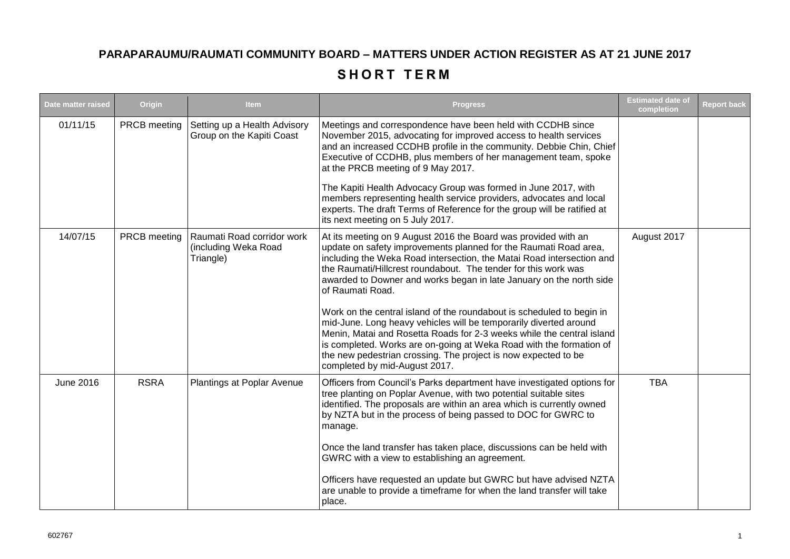## **PARAPARAUMU/RAUMATI COMMUNITY BOARD – MATTERS UNDER ACTION REGISTER AS AT 21 JUNE 2017**

## SHORT TERM

| Date matter raised | Origin       | <b>Item</b>                                                     | <b>Progress</b>                                                                                                                                                                                                                                                                                                                                                                               | <b>Estimated date of</b><br>completion | <b>Report back</b> |
|--------------------|--------------|-----------------------------------------------------------------|-----------------------------------------------------------------------------------------------------------------------------------------------------------------------------------------------------------------------------------------------------------------------------------------------------------------------------------------------------------------------------------------------|----------------------------------------|--------------------|
| 01/11/15           | PRCB meeting | Setting up a Health Advisory<br>Group on the Kapiti Coast       | Meetings and correspondence have been held with CCDHB since<br>November 2015, advocating for improved access to health services<br>and an increased CCDHB profile in the community. Debbie Chin, Chief<br>Executive of CCDHB, plus members of her management team, spoke<br>at the PRCB meeting of 9 May 2017.                                                                                |                                        |                    |
|                    |              |                                                                 | The Kapiti Health Advocacy Group was formed in June 2017, with<br>members representing health service providers, advocates and local<br>experts. The draft Terms of Reference for the group will be ratified at<br>its next meeting on 5 July 2017.                                                                                                                                           |                                        |                    |
| 14/07/15           | PRCB meeting | Raumati Road corridor work<br>(including Weka Road<br>Triangle) | At its meeting on 9 August 2016 the Board was provided with an<br>update on safety improvements planned for the Raumati Road area,<br>including the Weka Road intersection, the Matai Road intersection and<br>the Raumati/Hillcrest roundabout. The tender for this work was<br>awarded to Downer and works began in late January on the north side<br>of Raumati Road.                      | August 2017                            |                    |
|                    |              |                                                                 | Work on the central island of the roundabout is scheduled to begin in<br>mid-June. Long heavy vehicles will be temporarily diverted around<br>Menin, Matai and Rosetta Roads for 2-3 weeks while the central island<br>is completed. Works are on-going at Weka Road with the formation of<br>the new pedestrian crossing. The project is now expected to be<br>completed by mid-August 2017. |                                        |                    |
| June 2016          | <b>RSRA</b>  | Plantings at Poplar Avenue                                      | Officers from Council's Parks department have investigated options for<br>tree planting on Poplar Avenue, with two potential suitable sites<br>identified. The proposals are within an area which is currently owned<br>by NZTA but in the process of being passed to DOC for GWRC to<br>manage.                                                                                              | <b>TBA</b>                             |                    |
|                    |              |                                                                 | Once the land transfer has taken place, discussions can be held with<br>GWRC with a view to establishing an agreement.                                                                                                                                                                                                                                                                        |                                        |                    |
|                    |              |                                                                 | Officers have requested an update but GWRC but have advised NZTA<br>are unable to provide a timeframe for when the land transfer will take<br>place.                                                                                                                                                                                                                                          |                                        |                    |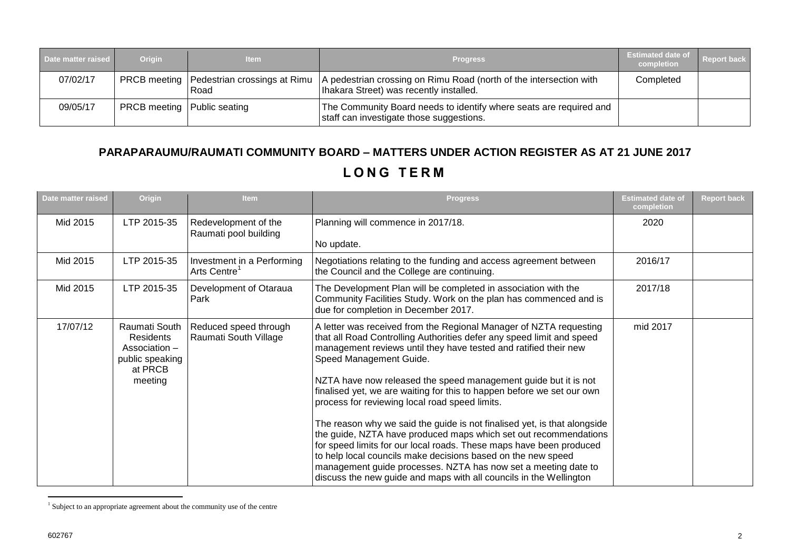| Date matter raised | <b>Origin</b>                        | <b>Item</b> | <b>Progress</b>                                                                                                                                             | <b>Estimated date of</b><br>completion | <b>Report back</b> |
|--------------------|--------------------------------------|-------------|-------------------------------------------------------------------------------------------------------------------------------------------------------------|----------------------------------------|--------------------|
| 07/02/17           |                                      | l Road      | PRCB meeting   Pedestrian crossings at Rimu   A pedestrian crossing on Rimu Road (north of the intersection with<br>Ihakara Street) was recently installed. | Completed                              |                    |
| 09/05/17           | <b>PRCB</b> meeting   Public seating |             | The Community Board needs to identify where seats are required and<br>staff can investigate those suggestions.                                              |                                        |                    |

## **PARAPARAUMU/RAUMATI COMMUNITY BOARD – MATTERS UNDER ACTION REGISTER AS AT 21 JUNE 2017 L O N G T E R M**

| Date matter raised | Origin                                                                                      | <b>Item</b>                                            | <b>Progress</b>                                                                                                                                                                                                                                                                                                                                                                                                                                                                                                                                                                                                                                                                                                                                                                                                                                                          | <b>Estimated date of</b><br>completion | <b>Report back</b> |
|--------------------|---------------------------------------------------------------------------------------------|--------------------------------------------------------|--------------------------------------------------------------------------------------------------------------------------------------------------------------------------------------------------------------------------------------------------------------------------------------------------------------------------------------------------------------------------------------------------------------------------------------------------------------------------------------------------------------------------------------------------------------------------------------------------------------------------------------------------------------------------------------------------------------------------------------------------------------------------------------------------------------------------------------------------------------------------|----------------------------------------|--------------------|
| Mid 2015           | LTP 2015-35                                                                                 | Redevelopment of the<br>Raumati pool building          | Planning will commence in 2017/18.<br>No update.                                                                                                                                                                                                                                                                                                                                                                                                                                                                                                                                                                                                                                                                                                                                                                                                                         | 2020                                   |                    |
| Mid 2015           | LTP 2015-35                                                                                 | Investment in a Performing<br>Arts Centre <sup>1</sup> | Negotiations relating to the funding and access agreement between<br>the Council and the College are continuing.                                                                                                                                                                                                                                                                                                                                                                                                                                                                                                                                                                                                                                                                                                                                                         | 2016/17                                |                    |
| Mid 2015           | LTP 2015-35                                                                                 | Development of Otaraua<br>Park                         | The Development Plan will be completed in association with the<br>Community Facilities Study. Work on the plan has commenced and is<br>due for completion in December 2017.                                                                                                                                                                                                                                                                                                                                                                                                                                                                                                                                                                                                                                                                                              | 2017/18                                |                    |
| 17/07/12           | Raumati South<br><b>Residents</b><br>Association -<br>public speaking<br>at PRCB<br>meeting | Reduced speed through<br>Raumati South Village         | A letter was received from the Regional Manager of NZTA requesting<br>that all Road Controlling Authorities defer any speed limit and speed<br>management reviews until they have tested and ratified their new<br>Speed Management Guide.<br>NZTA have now released the speed management guide but it is not<br>finalised yet, we are waiting for this to happen before we set our own<br>process for reviewing local road speed limits.<br>The reason why we said the guide is not finalised yet, is that alongside<br>the guide, NZTA have produced maps which set out recommendations<br>for speed limits for our local roads. These maps have been produced<br>to help local councils make decisions based on the new speed<br>management guide processes. NZTA has now set a meeting date to<br>discuss the new guide and maps with all councils in the Wellington | mid 2017                               |                    |

 1 Subject to an appropriate agreement about the community use of the centre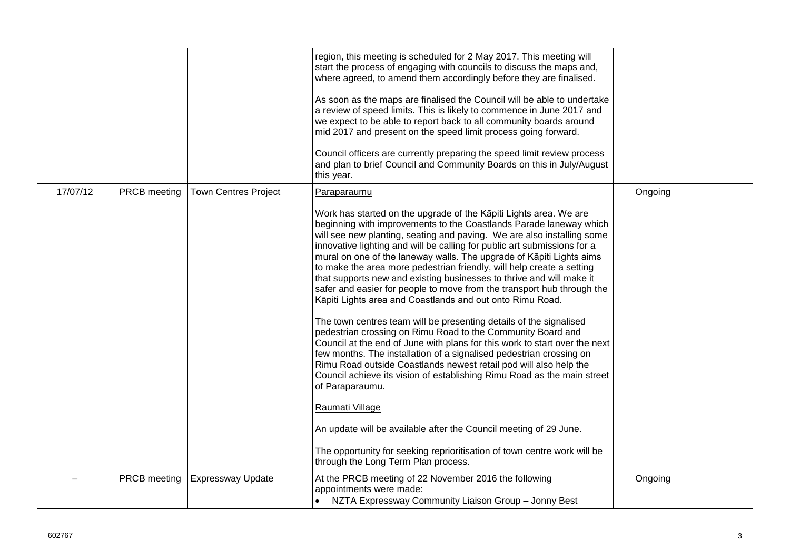|          |              |                             | region, this meeting is scheduled for 2 May 2017. This meeting will<br>start the process of engaging with councils to discuss the maps and,<br>where agreed, to amend them accordingly before they are finalised.<br>As soon as the maps are finalised the Council will be able to undertake<br>a review of speed limits. This is likely to commence in June 2017 and<br>we expect to be able to report back to all community boards around<br>mid 2017 and present on the speed limit process going forward.<br>Council officers are currently preparing the speed limit review process<br>and plan to brief Council and Community Boards on this in July/August<br>this year.                                                                                                                                                                                                                                                                                                                                                                                                                                                                                                                                                                                                                                                                      |         |  |
|----------|--------------|-----------------------------|------------------------------------------------------------------------------------------------------------------------------------------------------------------------------------------------------------------------------------------------------------------------------------------------------------------------------------------------------------------------------------------------------------------------------------------------------------------------------------------------------------------------------------------------------------------------------------------------------------------------------------------------------------------------------------------------------------------------------------------------------------------------------------------------------------------------------------------------------------------------------------------------------------------------------------------------------------------------------------------------------------------------------------------------------------------------------------------------------------------------------------------------------------------------------------------------------------------------------------------------------------------------------------------------------------------------------------------------------|---------|--|
| 17/07/12 | PRCB meeting | <b>Town Centres Project</b> | Paraparaumu<br>Work has started on the upgrade of the Kāpiti Lights area. We are<br>beginning with improvements to the Coastlands Parade laneway which<br>will see new planting, seating and paving. We are also installing some<br>innovative lighting and will be calling for public art submissions for a<br>mural on one of the laneway walls. The upgrade of Kāpiti Lights aims<br>to make the area more pedestrian friendly, will help create a setting<br>that supports new and existing businesses to thrive and will make it<br>safer and easier for people to move from the transport hub through the<br>Kāpiti Lights area and Coastlands and out onto Rimu Road.<br>The town centres team will be presenting details of the signalised<br>pedestrian crossing on Rimu Road to the Community Board and<br>Council at the end of June with plans for this work to start over the next<br>few months. The installation of a signalised pedestrian crossing on<br>Rimu Road outside Coastlands newest retail pod will also help the<br>Council achieve its vision of establishing Rimu Road as the main street<br>of Paraparaumu.<br>Raumati Village<br>An update will be available after the Council meeting of 29 June.<br>The opportunity for seeking reprioritisation of town centre work will be<br>through the Long Term Plan process. | Ongoing |  |
|          | PRCB meeting | <b>Expressway Update</b>    | At the PRCB meeting of 22 November 2016 the following<br>appointments were made:<br>NZTA Expressway Community Liaison Group - Jonny Best                                                                                                                                                                                                                                                                                                                                                                                                                                                                                                                                                                                                                                                                                                                                                                                                                                                                                                                                                                                                                                                                                                                                                                                                             | Ongoing |  |